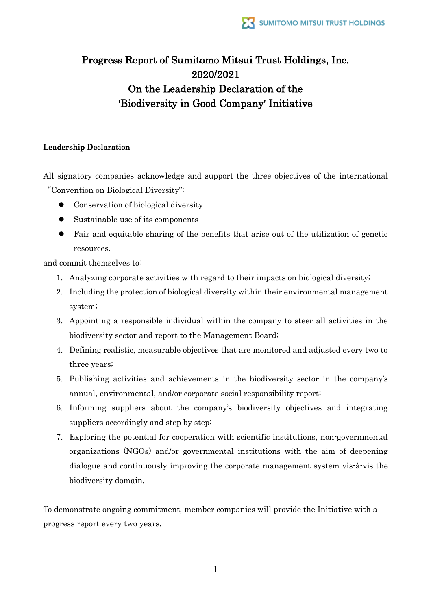# Progress Report of Sumitomo Mitsui Trust Holdings, Inc. 2020/2021 On the Leadership Declaration of the 'Biodiversity in Good Company' Initiative

### Leadership Declaration

All signatory companies acknowledge and support the three objectives of the international "Convention on Biological Diversity":

- ⚫ Conservation of biological diversity
- ⚫ Sustainable use of its components
- ⚫ Fair and equitable sharing of the benefits that arise out of the utilization of genetic resources.

and commit themselves to:

- 1. Analyzing corporate activities with regard to their impacts on biological diversity;
- 2. Including the protection of biological diversity within their environmental management system;
- 3. Appointing a responsible individual within the company to steer all activities in the biodiversity sector and report to the Management Board;
- 4. Defining realistic, measurable objectives that are monitored and adjusted every two to three years;
- 5. Publishing activities and achievements in the biodiversity sector in the company's annual, environmental, and/or corporate social responsibility report;
- 6. Informing suppliers about the company's biodiversity objectives and integrating suppliers accordingly and step by step;
- 7. Exploring the potential for cooperation with scientific institutions, non-governmental organizations (NGOs) and/or governmental institutions with the aim of deepening dialogue and continuously improving the corporate management system vis-à-vis the biodiversity domain.

To demonstrate ongoing commitment, member companies will provide the Initiative with a progress report every two years.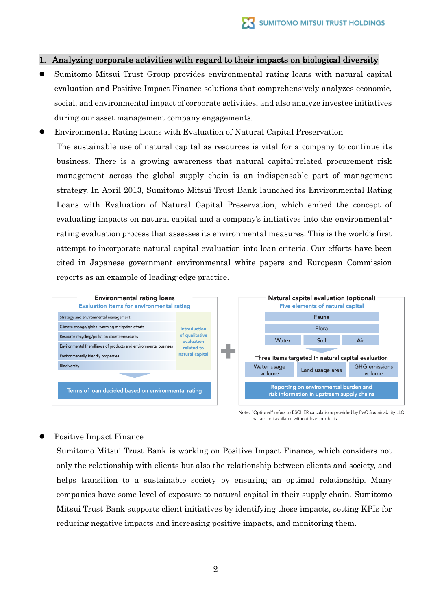#### 1. Analyzing corporate activities with regard to their impacts on biological diversity

- ⚫ Sumitomo Mitsui Trust Group provides environmental rating loans with natural capital evaluation and Positive Impact Finance solutions that comprehensively analyzes economic, social, and environmental impact of corporate activities, and also analyze investee initiatives during our asset management company engagements.
- ⚫ Environmental Rating Loans with Evaluation of Natural Capital Preservation The sustainable use of natural capital as resources is vital for a company to continue its business. There is a growing awareness that natural capital-related procurement risk management across the global supply chain is an indispensable part of management strategy. In April 2013, Sumitomo Mitsui Trust Bank launched its Environmental Rating Loans with Evaluation of Natural Capital Preservation, which embed the concept of evaluating impacts on natural capital and a company's initiatives into the environmentalrating evaluation process that assesses its environmental measures. This is the world's first attempt to incorporate natural capital evaluation into loan criteria. Our efforts have been cited in Japanese government environmental white papers and European Commission reports as an example of leading-edge practice.



Note: "Optional" refers to ESCHER calculations provided by PwC Sustainability LLC that are not available without loan products.

⚫ Positive Impact Finance

Sumitomo Mitsui Trust Bank is working on Positive Impact Finance, which considers not only the relationship with clients but also the relationship between clients and society, and helps transition to a sustainable society by ensuring an optimal relationship. Many companies have some level of exposure to natural capital in their supply chain. Sumitomo Mitsui Trust Bank supports client initiatives by identifying these impacts, setting KPIs for reducing negative impacts and increasing positive impacts, and monitoring them.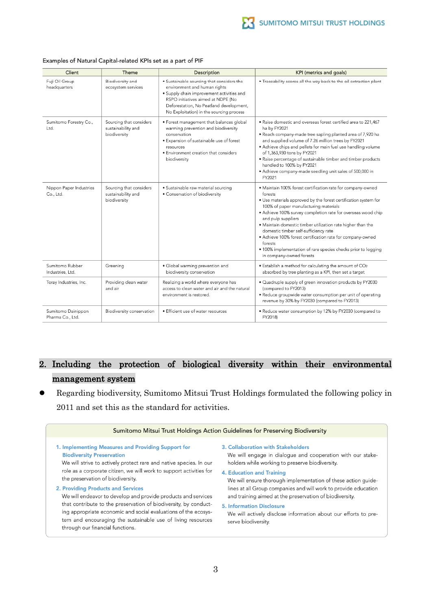#### Examples of Natural Capital-related KPIs set as a part of PIF

| Client                                 | Theme                                                         | Description                                                                                                                                                                                                                                         | KPI (metrics and goals)                                                                                                                                                                                                                                                                                                                                                                                                                                                                                                                                |
|----------------------------------------|---------------------------------------------------------------|-----------------------------------------------------------------------------------------------------------------------------------------------------------------------------------------------------------------------------------------------------|--------------------------------------------------------------------------------------------------------------------------------------------------------------------------------------------------------------------------------------------------------------------------------------------------------------------------------------------------------------------------------------------------------------------------------------------------------------------------------------------------------------------------------------------------------|
| Fuji Oil Group<br>headquarters         | Biodiversity and<br>ecosystem services                        | • Sustainable sourcing that considers the<br>environment and human rights<br>· Supply chain improvement activities and<br>RSPO initiatives aimed at NDPE (No<br>Deforestation, No Peatland development,<br>No Exploitation) in the sourcing process | . Traceability scores all the way back to the oil extraction plant                                                                                                                                                                                                                                                                                                                                                                                                                                                                                     |
| Sumitomo Forestry Co.,<br>Ltd.         | Sourcing that considers<br>sustainability and<br>biodiversity | · Forest management that balances global<br>warming prevention and biodiversity<br>conservation<br>· Expansion of sustainable use of forest<br>resources<br>• Environment creation that considers<br>biodiversity                                   | · Raise domestic and overseas forest certified area to 221,467<br>ha by FY2021<br>. Reach company-made tree sapling planted area of 7,920 ha<br>and supplied volume of 7.26 million trees by FY2021<br>. Achieve chips and pellets for main fuel use handling volume<br>of 1,363,930 tons by FY2021<br>· Raise percentage of sustainable timber and timber products<br>handled to 100% by FY2021<br>· Achieve company-made seedling unit sales of 500,000 in<br>FY2021                                                                                 |
| Nippon Paper Industries<br>Co., Ltd.   | Sourcing that considers<br>sustainability and<br>biodiversity | · Sustainable raw material sourcing<br>· Conservation of biodiversity                                                                                                                                                                               | · Maintain 100% forest certification rate for company-owned<br>forests<br>. Use materials approved by the forest certification system for<br>100% of paper manufacturing materials<br>· Achieve 100% survey completion rate for overseas wood chip<br>and pulp suppliers<br>· Maintain domestic timber utilization rate higher than the<br>domestic timber self-sufficiency rate<br>• Achieve 100% forest certification rate for company-owned<br>forests<br>• 100% implementation of rare species checks prior to logging<br>in company-owned forests |
| Sumitomo Rubber<br>Industries, Ltd.    | Greening                                                      | · Global warming prevention and<br>biodiversity conservation                                                                                                                                                                                        | • Establish a method for calculating the amount of CO2<br>absorbed by tree planting as a KPI, then set a target                                                                                                                                                                                                                                                                                                                                                                                                                                        |
| Toray Industries, Inc.                 | Providing clean water<br>and air                              | Realizing a world where everyone has<br>access to clean water and air and the natural<br>environment is restored.                                                                                                                                   | . Quadruple supply of green innovation products by FY2030<br>(compared to FY2013)<br>· Reduce groupwide water consumption per unit of operating<br>revenue by 30% by FY2030 (compared to FY2013)                                                                                                                                                                                                                                                                                                                                                       |
| Sumitomo Dainippon<br>Pharma Co., Ltd. | Biodiversity conservation                                     | · Efficient use of water resources                                                                                                                                                                                                                  | . Reduce water consumption by 12% by FY2030 (compared to<br>FY2018)                                                                                                                                                                                                                                                                                                                                                                                                                                                                                    |

## 2. Including the protection of biological diversity within their environmental management system

⚫ Regarding biodiversity, Sumitomo Mitsui Trust Holdings formulated the following policy in 2011 and set this as the standard for activities.

| Sumitomo Mitsui Trust Holdings Action Guidelines for Preserving Biodiversity                                                                                                                                                                                                                                                                                                                                                                                                                                                 |                                                                                                                                                                                                                                                                                                                                                                                                                                                                                        |  |  |  |
|------------------------------------------------------------------------------------------------------------------------------------------------------------------------------------------------------------------------------------------------------------------------------------------------------------------------------------------------------------------------------------------------------------------------------------------------------------------------------------------------------------------------------|----------------------------------------------------------------------------------------------------------------------------------------------------------------------------------------------------------------------------------------------------------------------------------------------------------------------------------------------------------------------------------------------------------------------------------------------------------------------------------------|--|--|--|
| 1. Implementing Measures and Providing Support for<br><b>Biodiversity Preservation</b><br>We will strive to actively protect rare and native species. In our<br>role as a corporate citizen, we will work to support activities for<br>the preservation of biodiversity.<br><b>2. Providing Products and Services</b><br>We will endeavor to develop and provide products and services<br>that contribute to the preservation of biodiversity, by conduct-<br>ing appropriate economic and social evaluations of the ecosys- | 3. Collaboration with Stakeholders<br>We will engage in dialogue and cooperation with our stake-<br>holders while working to preserve biodiversity.<br>4. Education and Training<br>We will ensure thorough implementation of these action quide-<br>lines at all Group companies and will work to provide education<br>and training aimed at the preservation of biodiversity.<br><b>5. Information Disclosure</b><br>We will actively disclose information about our efforts to pre- |  |  |  |
| tem and encouraging the sustainable use of living resources<br>through our financial functions.                                                                                                                                                                                                                                                                                                                                                                                                                              | serve biodiversity.                                                                                                                                                                                                                                                                                                                                                                                                                                                                    |  |  |  |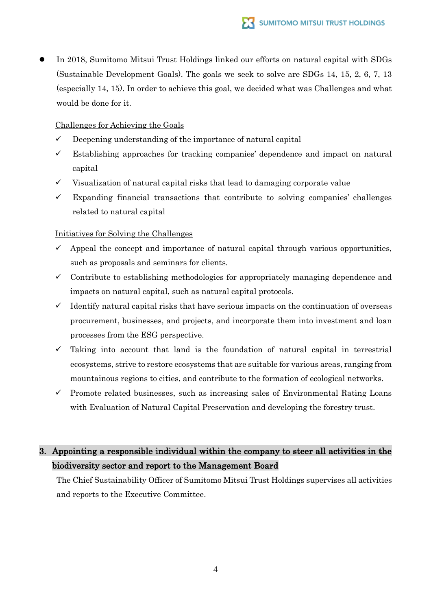⚫ In 2018, Sumitomo Mitsui Trust Holdings linked our efforts on natural capital with SDGs (Sustainable Development Goals). The goals we seek to solve are SDGs 14, 15, 2, 6, 7, 13 (especially 14, 15). In order to achieve this goal, we decided what was Challenges and what would be done for it.

#### Challenges for Achieving the Goals

- $\checkmark$  Deepening understanding of the importance of natural capital
- $\checkmark$  Establishing approaches for tracking companies' dependence and impact on natural capital
- Visualization of natural capital risks that lead to damaging corporate value
- $\checkmark$  Expanding financial transactions that contribute to solving companies' challenges related to natural capital

#### Initiatives for Solving the Challenges

- $\checkmark$  Appeal the concept and importance of natural capital through various opportunities, such as proposals and seminars for clients.
- $\checkmark$  Contribute to establishing methodologies for appropriately managing dependence and impacts on natural capital, such as natural capital protocols.
- $\checkmark$  Identify natural capital risks that have serious impacts on the continuation of overseas procurement, businesses, and projects, and incorporate them into investment and loan processes from the ESG perspective.
- $\checkmark$  Taking into account that land is the foundation of natural capital in terrestrial ecosystems, strive to restore ecosystems that are suitable for various areas, ranging from mountainous regions to cities, and contribute to the formation of ecological networks.
- Promote related businesses, such as increasing sales of Environmental Rating Loans with Evaluation of Natural Capital Preservation and developing the forestry trust.

### 3. Appointing a responsible individual within the company to steer all activities in the biodiversity sector and report to the Management Board

The Chief Sustainability Officer of Sumitomo Mitsui Trust Holdings supervises all activities and reports to the Executive Committee.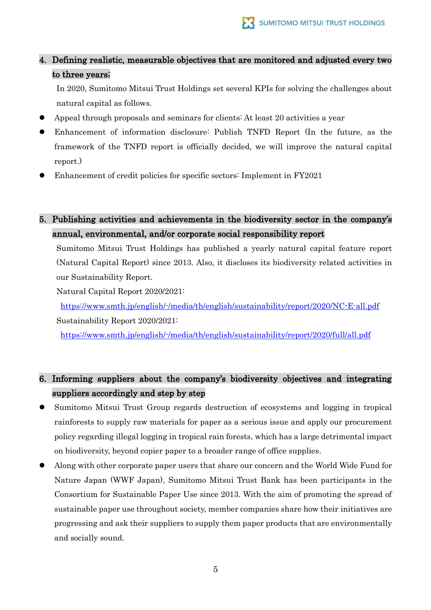### 4. Defining realistic, measurable objectives that are monitored and adjusted every two to three years;

In 2020, Sumitomo Mitsui Trust Holdings set several KPIs for solving the challenges about natural capital as follows.

- ⚫ Appeal through proposals and seminars for clients: At least 20 activities a year
- ⚫ Enhancement of information disclosure: Publish TNFD Report (In the future, as the framework of the TNFD report is officially decided, we will improve the natural capital report.)
- ⚫ Enhancement of credit policies for specific sectors: Implement in FY2021
- 5. Publishing activities and achievements in the biodiversity sector in the company's annual, environmental, and/or corporate social responsibility report

Sumitomo Mitsui Trust Holdings has published a yearly natural capital feature report (Natural Capital Report) since 2013. Also, it discloses its biodiversity related activities in our Sustainability Report.

Natural Capital Report 2020/2021:

<https://www.smth.jp/english/-/media/th/english/sustainability/report/2020/NC-E-all.pdf> Sustainability Report 2020/2021:

<https://www.smth.jp/english/-/media/th/english/sustainability/report/2020/full/all.pdf>

### 6. Informing suppliers about the company's biodiversity objectives and integrating suppliers accordingly and step by step

- ⚫ Sumitomo Mitsui Trust Group regards destruction of ecosystems and logging in tropical rainforests to supply raw materials for paper as a serious issue and apply our procurement policy regarding illegal logging in tropical rain forests, which has a large detrimental impact on biodiversity, beyond copier paper to a broader range of office supplies.
- ⚫ Along with other corporate paper users that share our concern and the World Wide Fund for Nature Japan (WWF Japan), Sumitomo Mitsui Trust Bank has been participants in the Consortium for Sustainable Paper Use since 2013. With the aim of promoting the spread of sustainable paper use throughout society, member companies share how their initiatives are progressing and ask their suppliers to supply them paper products that are environmentally and socially sound.